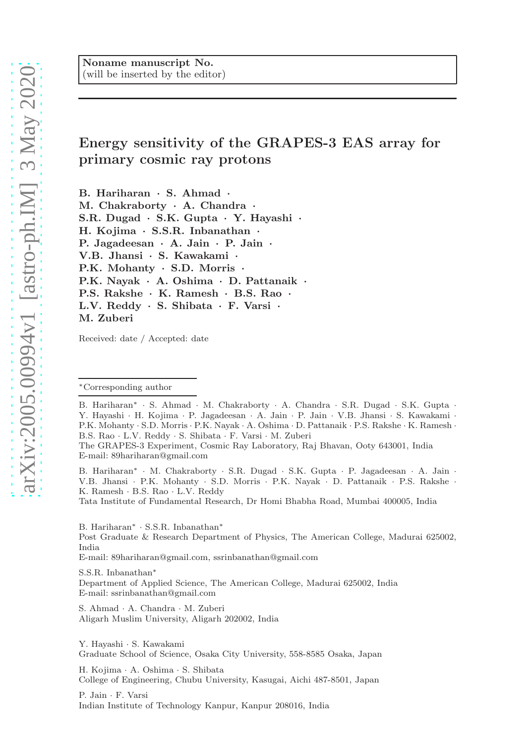# Energy sensitivity of the GRAPES-3 EAS array for primary cosmic ray protons

B. Hariharan · S. Ahmad · M. Chakraborty · A. Chandra · S.R. Dugad · S.K. Gupta · Y. Hayashi · H. Kojima · S.S.R. Inbanathan · P. Jagadeesan · A. Jain · P. Jain · V.B. Jhansi · S. Kawakami · P.K. Mohanty · S.D. Morris · P.K. Nayak · A. Oshima · D. Pattanaik · P.S. Rakshe · K. Ramesh · B.S. Rao · L.V. Reddy · S. Shibata · F. Varsi · M. Zuberi

Received: date / Accepted: date

B. Hariharan<sup>∗</sup> · S. Ahmad · M. Chakraborty · A. Chandra · S.R. Dugad · S.K. Gupta · Y. Hayashi · H. Kojima · P. Jagadeesan · A. Jain · P. Jain · V.B. Jhansi · S. Kawakami · P.K. Mohanty · S.D. Morris · P.K. Nayak · A. Oshima · D. Pattanaik · P.S. Rakshe · K. Ramesh · B.S. Rao · L.V. Reddy · S. Shibata · F. Varsi · M. Zuberi

B. Hariharan<sup>∗</sup> · M. Chakraborty · S.R. Dugad · S.K. Gupta · P. Jagadeesan · A. Jain · V.B. Jhansi · P.K. Mohanty · S.D. Morris · P.K. Nayak · D. Pattanaik · P.S. Rakshe · K. Ramesh · B.S. Rao · L.V. Reddy

Tata Institute of Fundamental Research, Dr Homi Bhabha Road, Mumbai 400005, India

B. Hariharan<sup>∗</sup> · S.S.R. Inbanathan<sup>∗</sup>

Post Graduate & Research Department of Physics, The American College, Madurai 625002, India

E-mail: 89hariharan@gmail.com, ssrinbanathan@gmail.com

S.S.R. Inbanathan<sup>∗</sup> Department of Applied Science, The American College, Madurai 625002, India E-mail: ssrinbanathan@gmail.com

S. Ahmad · A. Chandra · M. Zuberi Aligarh Muslim University, Aligarh 202002, India

Y. Hayashi · S. Kawakami Graduate School of Science, Osaka City University, 558-8585 Osaka, Japan

H. Kojima · A. Oshima · S. Shibata College of Engineering, Chubu University, Kasugai, Aichi 487-8501, Japan

P. Jain · F. Varsi Indian Institute of Technology Kanpur, Kanpur 208016, India

<sup>∗</sup>Corresponding author

The GRAPES-3 Experiment, Cosmic Ray Laboratory, Raj Bhavan, Ooty 643001, India E-mail: 89hariharan@gmail.com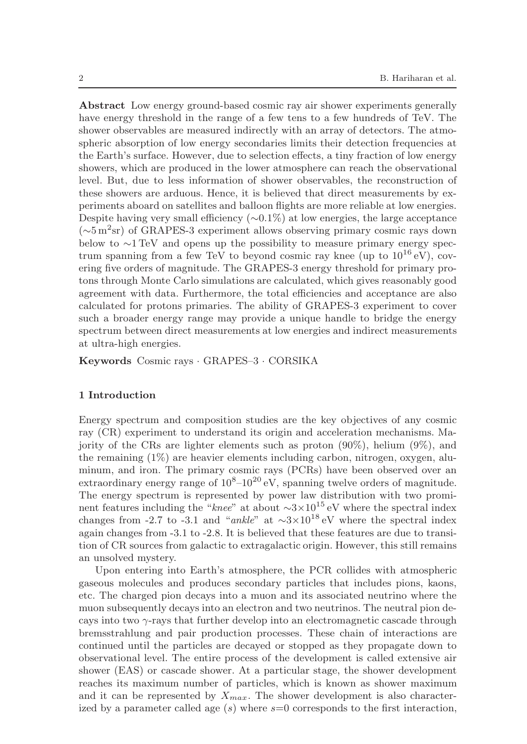Abstract Low energy ground-based cosmic ray air shower experiments generally have energy threshold in the range of a few tens to a few hundreds of TeV. The shower observables are measured indirectly with an array of detectors. The atmospheric absorption of low energy secondaries limits their detection frequencies at the Earth's surface. However, due to selection effects, a tiny fraction of low energy showers, which are produced in the lower atmosphere can reach the observational level. But, due to less information of shower observables, the reconstruction of these showers are arduous. Hence, it is believed that direct measurements by experiments aboard on satellites and balloon flights are more reliable at low energies. Despite having very small efficiency  $(\sim 0.1\%)$  at low energies, the large acceptance (∼5 m<sup>2</sup> sr) of GRAPES-3 experiment allows observing primary cosmic rays down below to ∼1 TeV and opens up the possibility to measure primary energy spectrum spanning from a few TeV to beyond cosmic ray knee (up to  $10^{16}$  eV), covering five orders of magnitude. The GRAPES-3 energy threshold for primary protons through Monte Carlo simulations are calculated, which gives reasonably good agreement with data. Furthermore, the total efficiencies and acceptance are also calculated for protons primaries. The ability of GRAPES-3 experiment to cover such a broader energy range may provide a unique handle to bridge the energy spectrum between direct measurements at low energies and indirect measurements at ultra-high energies.

Keywords Cosmic rays · GRAPES–3 · CORSIKA

## 1 Introduction

Energy spectrum and composition studies are the key objectives of any cosmic ray (CR) experiment to understand its origin and acceleration mechanisms. Majority of the CRs are lighter elements such as proton (90%), helium (9%), and the remaining (1%) are heavier elements including carbon, nitrogen, oxygen, aluminum, and iron. The primary cosmic rays (PCRs) have been observed over an extraordinary energy range of  $10^{8}$ – $10^{20}$  eV, spanning twelve orders of magnitude. The energy spectrum is represented by power law distribution with two prominent features including the "knee" at about  $\sim$ 3×10<sup>15</sup> eV where the spectral index changes from -2.7 to -3.1 and "ankle" at  $\sim$ 3×10<sup>18</sup> eV where the spectral index again changes from -3.1 to -2.8. It is believed that these features are due to transition of CR sources from galactic to extragalactic origin. However, this still remains an unsolved mystery.

Upon entering into Earth's atmosphere, the PCR collides with atmospheric gaseous molecules and produces secondary particles that includes pions, kaons, etc. The charged pion decays into a muon and its associated neutrino where the muon subsequently decays into an electron and two neutrinos. The neutral pion decays into two  $\gamma$ -rays that further develop into an electromagnetic cascade through bremsstrahlung and pair production processes. These chain of interactions are continued until the particles are decayed or stopped as they propagate down to observational level. The entire process of the development is called extensive air shower (EAS) or cascade shower. At a particular stage, the shower development reaches its maximum number of particles, which is known as shower maximum and it can be represented by  $X_{max}$ . The shower development is also characterized by a parameter called age  $(s)$  where  $s=0$  corresponds to the first interaction,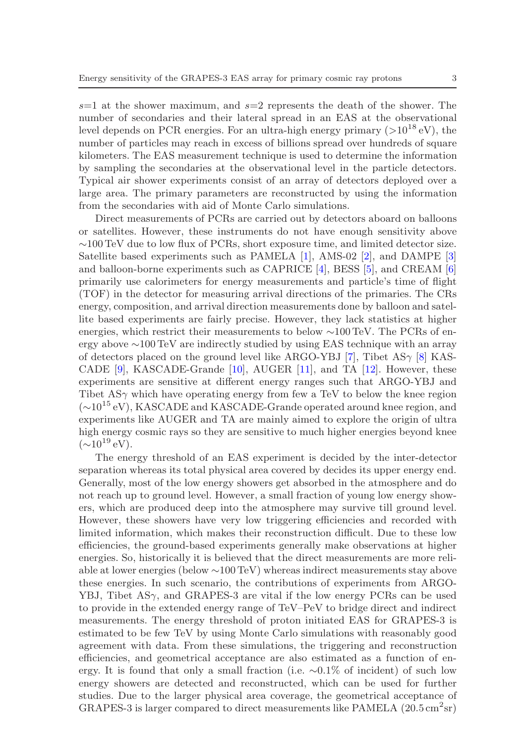$s=1$  at the shower maximum, and  $s=2$  represents the death of the shower. The number of secondaries and their lateral spread in an EAS at the observational level depends on PCR energies. For an ultra-high energy primary  $(>10^{18} \text{ eV})$ , the number of particles may reach in excess of billions spread over hundreds of square kilometers. The EAS measurement technique is used to determine the information by sampling the secondaries at the observational level in the particle detectors. Typical air shower experiments consist of an array of detectors deployed over a large area. The primary parameters are reconstructed by using the information from the secondaries with aid of Monte Carlo simulations.

Direct measurements of PCRs are carried out by detectors aboard on balloons or satellites. However, these instruments do not have enough sensitivity above ∼100 TeV due to low flux of PCRs, short exposure time, and limited detector size. Satellite based experiments such as PAMELA [\[1\]](#page-12-0), AMS-02 [\[2\]](#page-12-1), and DAMPE [\[3\]](#page-12-2) and balloon-borne experiments such as CAPRICE [\[4\]](#page-12-3), BESS [\[5\]](#page-12-4), and CREAM [\[6\]](#page-12-5) primarily use calorimeters for energy measurements and particle's time of flight (TOF) in the detector for measuring arrival directions of the primaries. The CRs energy, composition, and arrival direction measurements done by balloon and satellite based experiments are fairly precise. However, they lack statistics at higher energies, which restrict their measurements to below ∼100 TeV. The PCRs of energy above ∼100 TeV are indirectly studied by using EAS technique with an array of detectors placed on the ground level like ARGO-YBJ [\[7\]](#page-12-6), Tibet AS $\gamma$  [\[8\]](#page-12-7) KAS-CADE [\[9\]](#page-12-8), KASCADE-Grande [\[10\]](#page-12-9), AUGER [\[11\]](#page-12-10), and TA [\[12\]](#page-12-11). However, these experiments are sensitive at different energy ranges such that ARGO-YBJ and Tibet  $AS\gamma$  which have operating energy from few a TeV to below the knee region (∼10<sup>15</sup> eV), KASCADE and KASCADE-Grande operated around knee region, and experiments like AUGER and TA are mainly aimed to explore the origin of ultra high energy cosmic rays so they are sensitive to much higher energies beyond knee  $(\sim 10^{19} \text{ eV})$ .

The energy threshold of an EAS experiment is decided by the inter-detector separation whereas its total physical area covered by decides its upper energy end. Generally, most of the low energy showers get absorbed in the atmosphere and do not reach up to ground level. However, a small fraction of young low energy showers, which are produced deep into the atmosphere may survive till ground level. However, these showers have very low triggering efficiencies and recorded with limited information, which makes their reconstruction difficult. Due to these low efficiencies, the ground-based experiments generally make observations at higher energies. So, historically it is believed that the direct measurements are more reliable at lower energies (below ∼100 TeV) whereas indirect measurements stay above these energies. In such scenario, the contributions of experiments from ARGO-YBJ, Tibet ASγ, and GRAPES-3 are vital if the low energy PCRs can be used to provide in the extended energy range of TeV–PeV to bridge direct and indirect measurements. The energy threshold of proton initiated EAS for GRAPES-3 is estimated to be few TeV by using Monte Carlo simulations with reasonably good agreement with data. From these simulations, the triggering and reconstruction efficiencies, and geometrical acceptance are also estimated as a function of energy. It is found that only a small fraction (i.e. ∼0.1% of incident) of such low energy showers are detected and reconstructed, which can be used for further studies. Due to the larger physical area coverage, the geometrical acceptance of GRAPES-3 is larger compared to direct measurements like PAMELA  $(20.5 \text{ cm}^2 \text{sr})$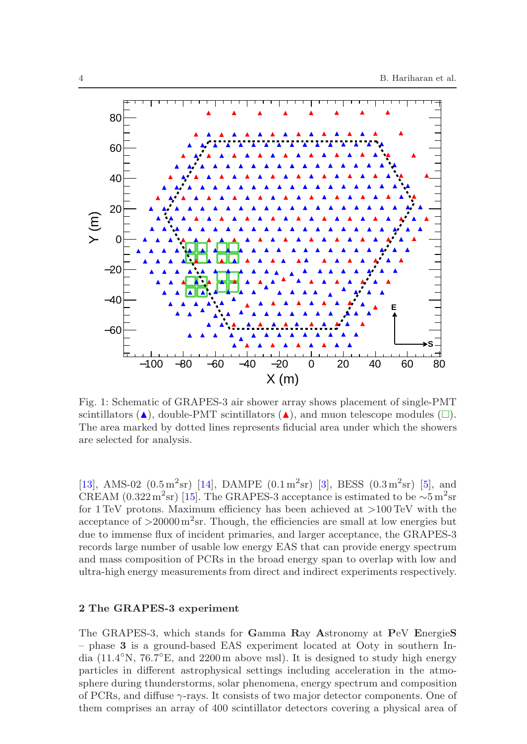<span id="page-3-0"></span>

Fig. 1: Schematic of GRAPES-3 air shower array shows placement of single-PMT scintillators  $(\triangle)$ , double-PMT scintillators  $(\triangle)$ , and muon telescope modules  $(\square)$ . The area marked by dotted lines represents fiducial area under which the showers are selected for analysis.

[\[13\]](#page-13-0), AMS-02  $(0.5 \,\mathrm{m}^2 \mathrm{sr})$  [\[14\]](#page-13-1), DAMPE  $(0.1 \,\mathrm{m}^2 \mathrm{sr})$  [\[3\]](#page-12-2), BESS  $(0.3 \,\mathrm{m}^2 \mathrm{sr})$  [\[5\]](#page-12-4), and CREAM (0.322 m<sup>2</sup>sr) [\[15\]](#page-13-2). The GRAPES-3 acceptance is estimated to be  $\sim 5 \,\mathrm{m}^2\mathrm{sr}$ for 1 TeV protons. Maximum efficiency has been achieved at  $>100$  TeV with the acceptance of  $>20000 \,\mathrm{m}^2\mathrm{sr}$ . Though, the efficiencies are small at low energies but due to immense flux of incident primaries, and larger acceptance, the GRAPES-3 records large number of usable low energy EAS that can provide energy spectrum and mass composition of PCRs in the broad energy span to overlap with low and ultra-high energy measurements from direct and indirect experiments respectively.

## 2 The GRAPES-3 experiment

The GRAPES-3, which stands for Gamma Ray Astronomy at PeV EnergieS – phase 3 is a ground-based EAS experiment located at Ooty in southern India  $(11.4°N, 76.7°E, and 2200 m$  above msl). It is designed to study high energy particles in different astrophysical settings including acceleration in the atmosphere during thunderstorms, solar phenomena, energy spectrum and composition of PCRs, and diffuse  $\gamma$ -rays. It consists of two major detector components. One of them comprises an array of 400 scintillator detectors covering a physical area of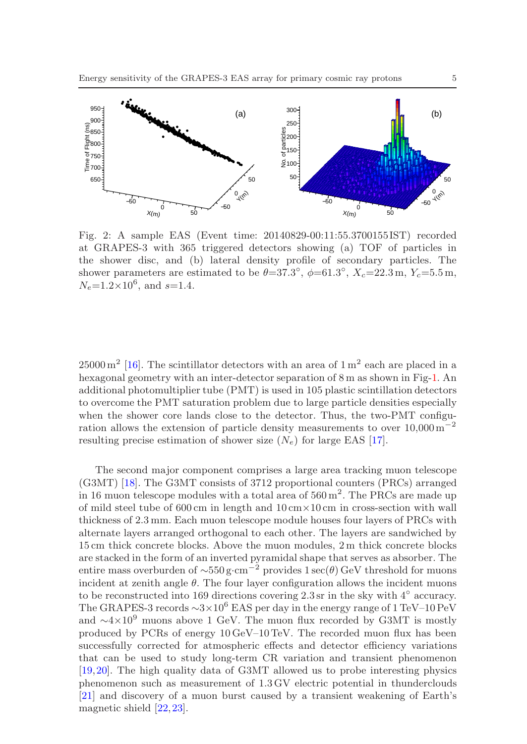<span id="page-4-0"></span>

Fig. 2: A sample EAS (Event time: 20140829-00:11:55.3700155 IST) recorded at GRAPES-3 with 365 triggered detectors showing (a) TOF of particles in the shower disc, and (b) lateral density profile of secondary particles. The shower parameters are estimated to be  $\theta = 37.3^{\circ}$ ,  $\phi = 61.3^{\circ}$ ,  $X_c = 22.3$  m,  $Y_c = 5.5$  m,  $N_e$ =1.2×10<sup>6</sup>, and s=1.4.

 $25000 \,\mathrm{m}^2$  [\[16\]](#page-13-3). The scintillator detectors with an area of  $1 \,\mathrm{m}^2$  each are placed in a hexagonal geometry with an inter-detector separation of 8 m as shown in Fig[-1.](#page-3-0) An additional photomultiplier tube (PMT) is used in 105 plastic scintillation detectors to overcome the PMT saturation problem due to large particle densities especially when the shower core lands close to the detector. Thus, the two-PMT configuration allows the extension of particle density measurements to over  $10,000\,\mathrm{m}^{-2}$ resulting precise estimation of shower size  $(N_e)$  for large EAS [\[17\]](#page-13-4).

The second major component comprises a large area tracking muon telescope (G3MT) [\[18\]](#page-13-5). The G3MT consists of 3712 proportional counters (PRCs) arranged in 16 muon telescope modules with a total area of  $560 \,\mathrm{m}^2$ . The PRCs are made up of mild steel tube of  $600 \text{ cm}$  in length and  $10 \text{ cm} \times 10 \text{ cm}$  in cross-section with wall thickness of 2.3 mm. Each muon telescope module houses four layers of PRCs with alternate layers arranged orthogonal to each other. The layers are sandwiched by 15 cm thick concrete blocks. Above the muon modules, 2 m thick concrete blocks are stacked in the form of an inverted pyramidal shape that serves as absorber. The entire mass overburden of  $\sim$ 550 g·cm<sup>-2</sup> provides 1 sec(θ) GeV threshold for muons incident at zenith angle  $\theta$ . The four layer configuration allows the incident muons to be reconstructed into 169 directions covering 2.3 sr in the sky with 4◦ accuracy. The GRAPES-3 records  $\sim$ 3×10<sup>6</sup> EAS per day in the energy range of 1 TeV–10 PeV and  $\sim$ 4×10<sup>9</sup> muons above 1 GeV. The muon flux recorded by G3MT is mostly produced by PCRs of energy 10 GeV–10 TeV. The recorded muon flux has been successfully corrected for atmospheric effects and detector efficiency variations that can be used to study long-term CR variation and transient phenomenon [\[19,](#page-13-6)[20\]](#page-13-7). The high quality data of G3MT allowed us to probe interesting physics phenomenon such as measurement of 1.3 GV electric potential in thunderclouds [\[21\]](#page-13-8) and discovery of a muon burst caused by a transient weakening of Earth's magnetic shield [\[22,](#page-13-9)[23\]](#page-13-10).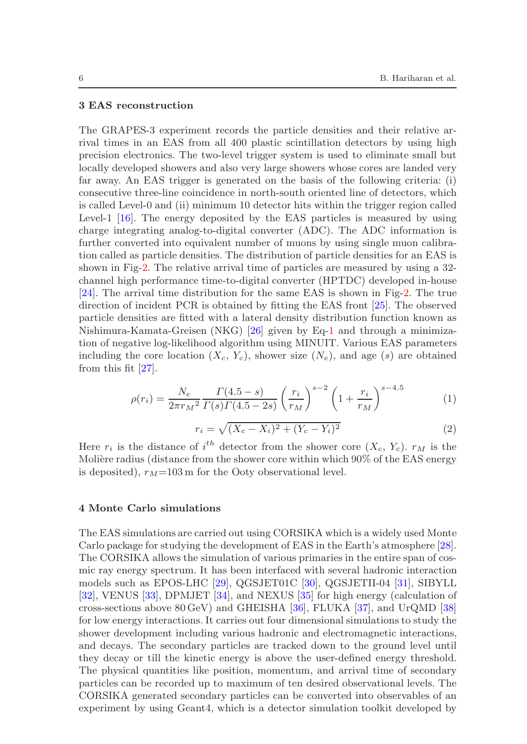#### 3 EAS reconstruction

The GRAPES-3 experiment records the particle densities and their relative arrival times in an EAS from all 400 plastic scintillation detectors by using high precision electronics. The two-level trigger system is used to eliminate small but locally developed showers and also very large showers whose cores are landed very far away. An EAS trigger is generated on the basis of the following criteria: (i) consecutive three-line coincidence in north-south oriented line of detectors, which is called Level-0 and (ii) minimum 10 detector hits within the trigger region called Level-1 [\[16\]](#page-13-3). The energy deposited by the EAS particles is measured by using charge integrating analog-to-digital converter (ADC). The ADC information is further converted into equivalent number of muons by using single muon calibration called as particle densities. The distribution of particle densities for an EAS is shown in Fig[-2.](#page-4-0) The relative arrival time of particles are measured by using a 32 channel high performance time-to-digital converter (HPTDC) developed in-house [\[24\]](#page-13-11). The arrival time distribution for the same EAS is shown in Fig[-2.](#page-4-0) The true direction of incident PCR is obtained by fitting the EAS front [\[25\]](#page-13-12). The observed particle densities are fitted with a lateral density distribution function known as Nishimura-Kamata-Greisen (NKG) [\[26\]](#page-13-13) given by Eq[-1](#page-5-0) and through a minimization of negative log-likelihood algorithm using MINUIT. Various EAS parameters including the core location  $(X_c, Y_c)$ , shower size  $(N_e)$ , and age  $(s)$  are obtained from this fit [\[27\]](#page-13-14).

<span id="page-5-0"></span>
$$
\rho(r_i) = \frac{N_e}{2\pi r_M^2} \frac{\Gamma(4.5 - s)}{\Gamma(s)\Gamma(4.5 - 2s)} \left(\frac{r_i}{r_M}\right)^{s-2} \left(1 + \frac{r_i}{r_M}\right)^{s-4.5}
$$
(1)

$$
r_i = \sqrt{(X_c - X_i)^2 + (Y_c - Y_i)^2}
$$
\n(2)

Here  $r_i$  is the distance of  $i^{th}$  detector from the shower core  $(X_c, Y_c)$ .  $r_M$  is the Molière radius (distance from the shower core within which 90% of the EAS energy is deposited),  $r_M$ =103 m for the Ooty observational level.

#### 4 Monte Carlo simulations

The EAS simulations are carried out using CORSIKA which is a widely used Monte Carlo package for studying the development of EAS in the Earth's atmosphere [\[28\]](#page-13-15). The CORSIKA allows the simulation of various primaries in the entire span of cosmic ray energy spectrum. It has been interfaced with several hadronic interaction models such as EPOS-LHC [\[29\]](#page-13-16), QGSJET01C [\[30\]](#page-13-17), QGSJETII-04 [\[31\]](#page-13-18), SIBYLL [\[32\]](#page-13-19), VENUS [\[33\]](#page-13-20), DPMJET [\[34\]](#page-13-21), and NEXUS [\[35\]](#page-13-22) for high energy (calculation of cross-sections above 80 GeV) and GHEISHA [\[36\]](#page-14-0), FLUKA [\[37\]](#page-14-1), and UrQMD [\[38\]](#page-14-2) for low energy interactions. It carries out four dimensional simulations to study the shower development including various hadronic and electromagnetic interactions, and decays. The secondary particles are tracked down to the ground level until they decay or till the kinetic energy is above the user-defined energy threshold. The physical quantities like position, momentum, and arrival time of secondary particles can be recorded up to maximum of ten desired observational levels. The CORSIKA generated secondary particles can be converted into observables of an experiment by using Geant4, which is a detector simulation toolkit developed by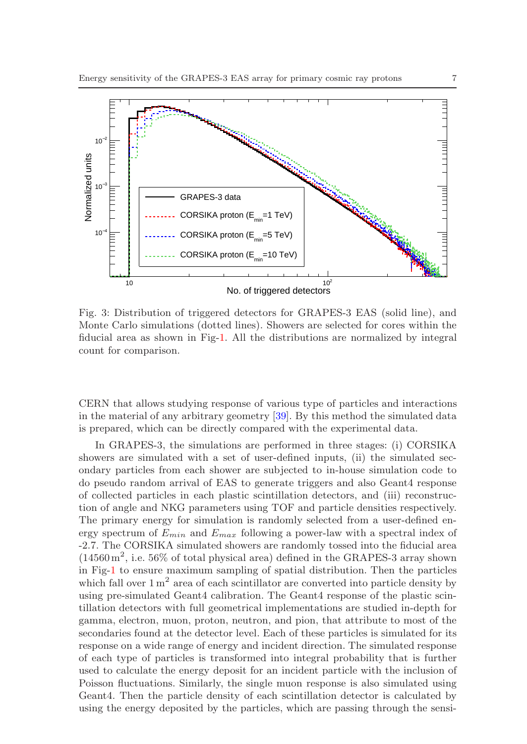<span id="page-6-0"></span>

Fig. 3: Distribution of triggered detectors for GRAPES-3 EAS (solid line), and Monte Carlo simulations (dotted lines). Showers are selected for cores within the fiducial area as shown in Fig[-1.](#page-3-0) All the distributions are normalized by integral count for comparison.

CERN that allows studying response of various type of particles and interactions in the material of any arbitrary geometry [\[39\]](#page-14-3). By this method the simulated data is prepared, which can be directly compared with the experimental data.

In GRAPES-3, the simulations are performed in three stages: (i) CORSIKA showers are simulated with a set of user-defined inputs, (ii) the simulated secondary particles from each shower are subjected to in-house simulation code to do pseudo random arrival of EAS to generate triggers and also Geant4 response of collected particles in each plastic scintillation detectors, and (iii) reconstruction of angle and NKG parameters using TOF and particle densities respectively. The primary energy for simulation is randomly selected from a user-defined energy spectrum of  $E_{min}$  and  $E_{max}$  following a power-law with a spectral index of -2.7. The CORSIKA simulated showers are randomly tossed into the fiducial area  $(14560 \,\mathrm{m}^2, i.e. 56\%$  of total physical area) defined in the GRAPES-3 array shown in Fig[-1](#page-3-0) to ensure maximum sampling of spatial distribution. Then the particles which fall over  $1 \text{ m}^2$  area of each scintillator are converted into particle density by using pre-simulated Geant4 calibration. The Geant4 response of the plastic scintillation detectors with full geometrical implementations are studied in-depth for gamma, electron, muon, proton, neutron, and pion, that attribute to most of the secondaries found at the detector level. Each of these particles is simulated for its response on a wide range of energy and incident direction. The simulated response of each type of particles is transformed into integral probability that is further used to calculate the energy deposit for an incident particle with the inclusion of Poisson fluctuations. Similarly, the single muon response is also simulated using Geant4. Then the particle density of each scintillation detector is calculated by using the energy deposited by the particles, which are passing through the sensi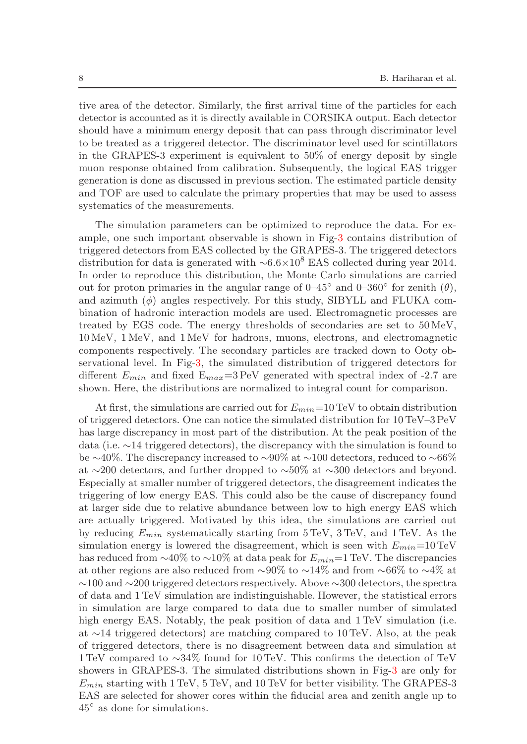tive area of the detector. Similarly, the first arrival time of the particles for each detector is accounted as it is directly available in CORSIKA output. Each detector should have a minimum energy deposit that can pass through discriminator level to be treated as a triggered detector. The discriminator level used for scintillators in the GRAPES-3 experiment is equivalent to 50% of energy deposit by single muon response obtained from calibration. Subsequently, the logical EAS trigger generation is done as discussed in previous section. The estimated particle density and TOF are used to calculate the primary properties that may be used to assess systematics of the measurements.

The simulation parameters can be optimized to reproduce the data. For example, one such important observable is shown in Fig[-3](#page-6-0) contains distribution of triggered detectors from EAS collected by the GRAPES-3. The triggered detectors distribution for data is generated with  $\sim 6.6 \times 10^8$  EAS collected during year 2014. In order to reproduce this distribution, the Monte Carlo simulations are carried out for proton primaries in the angular range of  $0-45^{\circ}$  and  $0-360^{\circ}$  for zenith  $(\theta)$ , and azimuth  $(\phi)$  angles respectively. For this study, SIBYLL and FLUKA combination of hadronic interaction models are used. Electromagnetic processes are treated by EGS code. The energy thresholds of secondaries are set to 50 MeV, 10 MeV, 1 MeV, and 1 MeV for hadrons, muons, electrons, and electromagnetic components respectively. The secondary particles are tracked down to Ooty observational level. In Fig[-3,](#page-6-0) the simulated distribution of triggered detectors for different  $E_{min}$  and fixed  $E_{max}=3$  PeV generated with spectral index of -2.7 are shown. Here, the distributions are normalized to integral count for comparison.

At first, the simulations are carried out for  $E_{min}=10$  TeV to obtain distribution of triggered detectors. One can notice the simulated distribution for 10 TeV–3 PeV has large discrepancy in most part of the distribution. At the peak position of the data (i.e. ∼14 triggered detectors), the discrepancy with the simulation is found to be ∼40%. The discrepancy increased to ∼90% at ∼100 detectors, reduced to ∼66% at ∼200 detectors, and further dropped to ∼50% at ∼300 detectors and beyond. Especially at smaller number of triggered detectors, the disagreement indicates the triggering of low energy EAS. This could also be the cause of discrepancy found at larger side due to relative abundance between low to high energy EAS which are actually triggered. Motivated by this idea, the simulations are carried out by reducing  $E_{min}$  systematically starting from  $5 \text{ TeV}$ ,  $3 \text{ TeV}$ , and  $1 \text{ TeV}$ . As the simulation energy is lowered the disagreement, which is seen with  $E_{min}=10$  TeV has reduced from  $\sim$ 40% to  $\sim$ 10% at data peak for  $E_{min}=1$  TeV. The discrepancies at other regions are also reduced from ∼90% to ∼14% and from ∼66% to ∼4% at ∼100 and ∼200 triggered detectors respectively. Above ∼300 detectors, the spectra of data and 1 TeV simulation are indistinguishable. However, the statistical errors in simulation are large compared to data due to smaller number of simulated high energy EAS. Notably, the peak position of data and  $1 \text{ TeV}$  simulation (i.e. at ∼14 triggered detectors) are matching compared to 10 TeV. Also, at the peak of triggered detectors, there is no disagreement between data and simulation at 1 TeV compared to ∼34% found for 10 TeV. This confirms the detection of TeV showers in GRAPES-3. The simulated distributions shown in Fig[-3](#page-6-0) are only for  $E_{min}$  starting with 1 TeV, 5 TeV, and 10 TeV for better visibility. The GRAPES-3 EAS are selected for shower cores within the fiducial area and zenith angle up to 45◦ as done for simulations.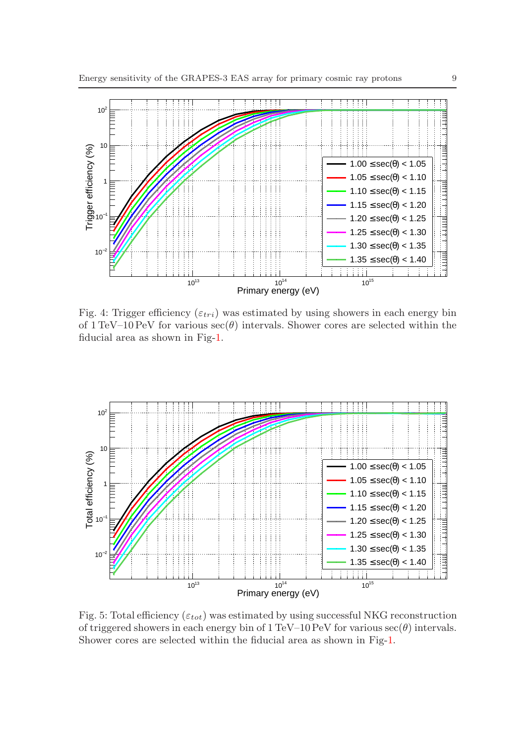<span id="page-8-0"></span>

Fig. 4: Trigger efficiency ( $\varepsilon_{tri}$ ) was estimated by using showers in each energy bin of 1 TeV–10 PeV for various  $\sec(\theta)$  intervals. Shower cores are selected within the fiducial area as shown in Fig[-1.](#page-3-0)

<span id="page-8-1"></span>

Fig. 5: Total efficiency ( $\varepsilon_{tot}$ ) was estimated by using successful NKG reconstruction of triggered showers in each energy bin of  $1 \text{ TeV}-10 \text{ PeV}$  for various  $\sec(\theta)$  intervals. Shower cores are selected within the fiducial area as shown in Fig[-1.](#page-3-0)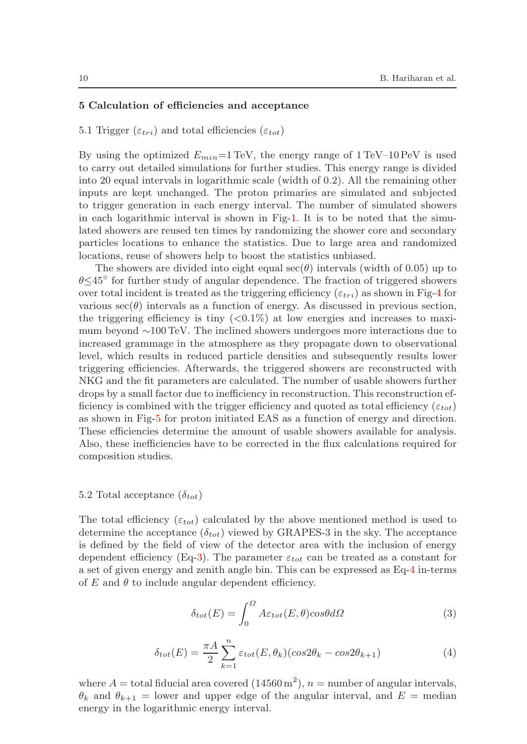## 5 Calculation of efficiencies and acceptance

5.1 Trigger  $(\varepsilon_{tri})$  and total efficiencies  $(\varepsilon_{tot})$ 

By using the optimized  $E_{min}=1$  TeV, the energy range of  $1$  TeV–10 PeV is used to carry out detailed simulations for further studies. This energy range is divided into 20 equal intervals in logarithmic scale (width of 0.2). All the remaining other inputs are kept unchanged. The proton primaries are simulated and subjected to trigger generation in each energy interval. The number of simulated showers in each logarithmic interval is shown in Fig[-1.](#page-11-0) It is to be noted that the simulated showers are reused ten times by randomizing the shower core and secondary particles locations to enhance the statistics. Due to large area and randomized locations, reuse of showers help to boost the statistics unbiased.

The showers are divided into eight equal  $\sec(\theta)$  intervals (width of 0.05) up to θ≤45◦ for further study of angular dependence. The fraction of triggered showers over total incident is treated as the triggering efficiency  $(\varepsilon_{tri})$  as shown in Fig[-4](#page-8-0) for various  $\sec(\theta)$  intervals as a function of energy. As discussed in previous section, the triggering efficiency is tiny  $( $0.1\%$ )$  at low energies and increases to maximum beyond ∼100 TeV. The inclined showers undergoes more interactions due to increased grammage in the atmosphere as they propagate down to observational level, which results in reduced particle densities and subsequently results lower triggering efficiencies. Afterwards, the triggered showers are reconstructed with NKG and the fit parameters are calculated. The number of usable showers further drops by a small factor due to inefficiency in reconstruction. This reconstruction efficiency is combined with the trigger efficiency and quoted as total efficiency ( $\varepsilon_{tot}$ ) as shown in Fig[-5](#page-8-1) for proton initiated EAS as a function of energy and direction. These efficiencies determine the amount of usable showers available for analysis. Also, these inefficiencies have to be corrected in the flux calculations required for composition studies.

#### 5.2 Total acceptance  $(\delta_{tot})$

<span id="page-9-0"></span>The total efficiency ( $\varepsilon_{tot}$ ) calculated by the above mentioned method is used to determine the acceptance  $(\delta_{tot})$  viewed by GRAPES-3 in the sky. The acceptance is defined by the field of view of the detector area with the inclusion of energy dependent efficiency (Eq[-3\)](#page-9-0). The parameter  $\varepsilon_{tot}$  can be treated as a constant for a set of given energy and zenith angle bin. This can be expressed as Eq[-4](#page-9-1) in-terms of  $E$  and  $\theta$  to include angular dependent efficiency.

$$
\delta_{tot}(E) = \int_0^{\Omega} A \varepsilon_{tot}(E, \theta) \cos \theta d\Omega \tag{3}
$$

$$
\delta_{tot}(E) = \frac{\pi A}{2} \sum_{k=1}^{n} \varepsilon_{tot}(E, \theta_k)(\cos 2\theta_k - \cos 2\theta_{k+1})
$$
\n(4)

<span id="page-9-1"></span>where  $A =$  total fiducial area covered  $(14560 \,\mathrm{m}^2)$ ,  $n =$  number of angular intervals,  $\theta_k$  and  $\theta_{k+1}$  = lower and upper edge of the angular interval, and  $E$  = median energy in the logarithmic energy interval.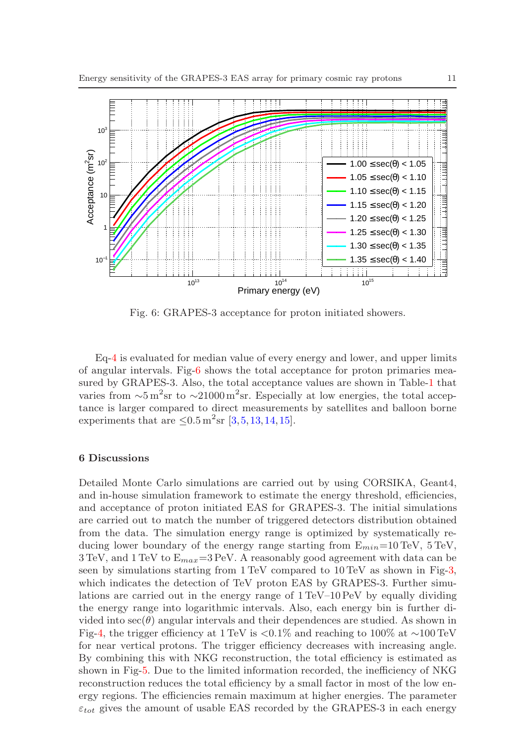<span id="page-10-0"></span>

Fig. 6: GRAPES-3 acceptance for proton initiated showers.

Eq[-4](#page-9-1) is evaluated for median value of every energy and lower, and upper limits of angular intervals. Fig[-6](#page-10-0) shows the total acceptance for proton primaries measured by GRAPES-3. Also, the total acceptance values are shown in Table[-1](#page-11-0) that varies from  $\sim 5 \,\mathrm{m}^2\mathrm{sr}$  to  $\sim 21000 \,\mathrm{m}^2\mathrm{sr}$ . Especially at low energies, the total acceptance is larger compared to direct measurements by satellites and balloon borne experiments that are  $\leq 0.5 \,\mathrm{m}^2\mathrm{sr}$  [\[3,](#page-12-2)[5,](#page-12-4)[13,](#page-13-0)[14,](#page-13-1)[15\]](#page-13-2).

#### 6 Discussions

Detailed Monte Carlo simulations are carried out by using CORSIKA, Geant4, and in-house simulation framework to estimate the energy threshold, efficiencies, and acceptance of proton initiated EAS for GRAPES-3. The initial simulations are carried out to match the number of triggered detectors distribution obtained from the data. The simulation energy range is optimized by systematically reducing lower boundary of the energy range starting from  $E_{min}=10 \text{ TeV}$ ,  $5 \text{ TeV}$ ,  $3 \text{ TeV}$ , and  $1 \text{ TeV}$  to  $E_{max}=3 \text{ PeV}$ . A reasonably good agreement with data can be seen by simulations starting from 1 TeV compared to 10 TeV as shown in Fig[-3,](#page-6-0) which indicates the detection of TeV proton EAS by GRAPES-3. Further simulations are carried out in the energy range of 1 TeV–10 PeV by equally dividing the energy range into logarithmic intervals. Also, each energy bin is further divided into  $\sec(\theta)$  angular intervals and their dependences are studied. As shown in Fig[-4,](#page-8-0) the trigger efficiency at 1 TeV is  $\langle 0.1\%$  and reaching to 100% at ~100 TeV for near vertical protons. The trigger efficiency decreases with increasing angle. By combining this with NKG reconstruction, the total efficiency is estimated as shown in Fig[-5.](#page-8-1) Due to the limited information recorded, the inefficiency of NKG reconstruction reduces the total efficiency by a small factor in most of the low energy regions. The efficiencies remain maximum at higher energies. The parameter  $\varepsilon_{tot}$  gives the amount of usable EAS recorded by the GRAPES-3 in each energy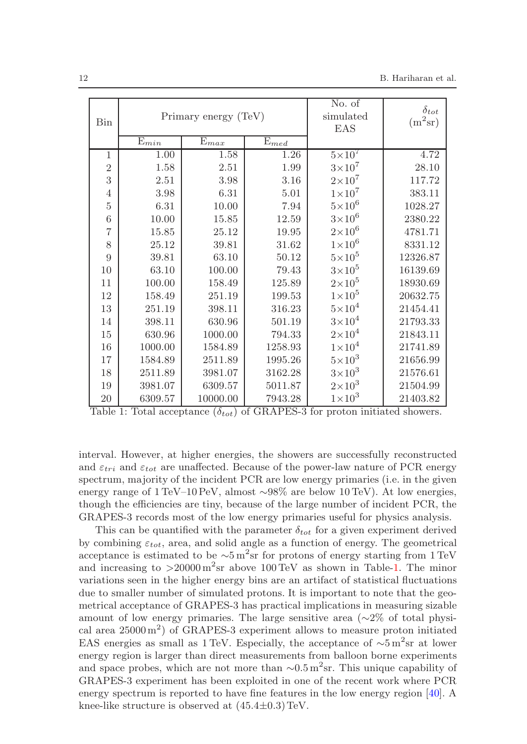<span id="page-11-0"></span>

| Bin            | Primary energy (TeV) |           |           | No. of<br>simulated<br>EAS | $\delta_{tot}$<br>$(m^2sr)$ |
|----------------|----------------------|-----------|-----------|----------------------------|-----------------------------|
|                | $E_{min}$            | $E_{max}$ | $E_{med}$ |                            |                             |
| $\mathbf 1$    | 1.00                 | 1.58      | 1.26      | $5\times10^7$              | 4.72                        |
| $\overline{2}$ | 1.58                 | 2.51      | 1.99      | $3\times10^7$              | 28.10                       |
| 3              | 2.51                 | 3.98      | 3.16      | $2\times10^7$              | 117.72                      |
| $\overline{4}$ | 3.98                 | 6.31      | 5.01      | $1\times10^7$              | 383.11                      |
| $\overline{5}$ | 6.31                 | 10.00     | 7.94      | $5\times10^6$              | 1028.27                     |
| $\overline{6}$ | 10.00                | 15.85     | 12.59     | $3\times10^6$              | 2380.22                     |
| $\overline{7}$ | 15.85                | 25.12     | 19.95     | $2\times10^6$              | 4781.71                     |
| 8              | 25.12                | 39.81     | 31.62     | $1\times10^6$              | 8331.12                     |
| $\overline{9}$ | 39.81                | 63.10     | 50.12     | $5\times10^5$              | 12326.87                    |
| 10             | 63.10                | 100.00    | 79.43     | $3\times10^5$              | 16139.69                    |
| 11             | 100.00               | 158.49    | 125.89    | $2\times10^5$              | 18930.69                    |
| 12             | 158.49               | 251.19    | 199.53    | $1\times10^5$              | 20632.75                    |
| 13             | 251.19               | 398.11    | 316.23    | $5\times10^4$              | 21454.41                    |
| 14             | 398.11               | 630.96    | 501.19    | $3\times10^4$              | 21793.33                    |
| 15             | 630.96               | 1000.00   | 794.33    | $2\times10^4$              | 21843.11                    |
| 16             | 1000.00              | 1584.89   | 1258.93   | $1\times10^4$              | 21741.89                    |
| 17             | 1584.89              | 2511.89   | 1995.26   | $5\times10^3$              | 21656.99                    |
| 18             | 2511.89              | 3981.07   | 3162.28   | $3\times10^3$              | 21576.61                    |
| $19\,$         | 3981.07              | 6309.57   | 5011.87   | $2\times10^3$              | 21504.99                    |
| 20             | 6309.57              | 10000.00  | 7943.28   | $1\times10^3$              | 21403.82                    |

Table 1: Total acceptance  $(\delta_{tot})$  of GRAPES-3 for proton initiated showers.

interval. However, at higher energies, the showers are successfully reconstructed and  $\varepsilon_{tri}$  and  $\varepsilon_{tot}$  are unaffected. Because of the power-law nature of PCR energy spectrum, majority of the incident PCR are low energy primaries (i.e. in the given energy range of 1 TeV–10 PeV, almost ∼98% are below 10 TeV). At low energies, though the efficiencies are tiny, because of the large number of incident PCR, the GRAPES-3 records most of the low energy primaries useful for physics analysis.

This can be quantified with the parameter  $\delta_{tot}$  for a given experiment derived by combining  $\varepsilon_{tot}$ , area, and solid angle as a function of energy. The geometrical acceptance is estimated to be  $\sim 5 \,\mathrm{m}^2\mathrm{sr}$  for protons of energy starting from 1 TeV and increasing to  $>20000 \,\mathrm{m}^2\mathrm{sr}$  above 100 TeV as shown in Table[-1.](#page-11-0) The minor variations seen in the higher energy bins are an artifact of statistical fluctuations due to smaller number of simulated protons. It is important to note that the geometrical acceptance of GRAPES-3 has practical implications in measuring sizable amount of low energy primaries. The large sensitive area ( $\sim$ 2% of total physical area  $25000 \,\mathrm{m}^2$ ) of GRAPES-3 experiment allows to measure proton initiated EAS energies as small as 1 TeV. Especially, the acceptance of  $\sim 5 \,\mathrm{m}^2\mathrm{sr}$  at lower energy region is larger than direct measurements from balloon borne experiments and space probes, which are not more than  $\sim 0.5 \,\mathrm{m}^2 \mathrm{sr}$ . This unique capability of GRAPES-3 experiment has been exploited in one of the recent work where PCR energy spectrum is reported to have fine features in the low energy region [\[40\]](#page-14-4). A knee-like structure is observed at  $(45.4\pm0.3)$  TeV.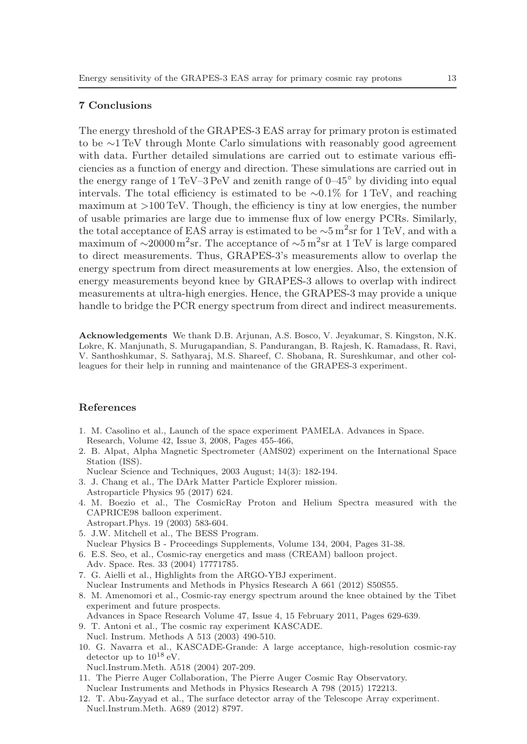# 7 Conclusions

The energy threshold of the GRAPES-3 EAS array for primary proton is estimated to be ∼1 TeV through Monte Carlo simulations with reasonably good agreement with data. Further detailed simulations are carried out to estimate various efficiencies as a function of energy and direction. These simulations are carried out in the energy range of  $1 \text{TeV}-3 \text{PeV}$  and zenith range of  $0-45^\circ$  by dividing into equal intervals. The total efficiency is estimated to be ∼0.1% for 1 TeV, and reaching maximum at >100 TeV. Though, the efficiency is tiny at low energies, the number of usable primaries are large due to immense flux of low energy PCRs. Similarly, the total acceptance of EAS array is estimated to be  $\sim$ 5 m<sup>2</sup>sr for 1 TeV, and with a maximum of  $\sim$ 20000 $\rm m^2sr$ . The acceptance of  $\sim$ 5 $\rm m^2sr$  at 1 TeV is large compared to direct measurements. Thus, GRAPES-3's measurements allow to overlap the energy spectrum from direct measurements at low energies. Also, the extension of energy measurements beyond knee by GRAPES-3 allows to overlap with indirect measurements at ultra-high energies. Hence, the GRAPES-3 may provide a unique handle to bridge the PCR energy spectrum from direct and indirect measurements.

Acknowledgements We thank D.B. Arjunan, A.S. Bosco, V. Jeyakumar, S. Kingston, N.K. Lokre, K. Manjunath, S. Murugapandian, S. Pandurangan, B. Rajesh, K. Ramadass, R. Ravi, V. Santhoshkumar, S. Sathyaraj, M.S. Shareef, C. Shobana, R. Sureshkumar, and other colleagues for their help in running and maintenance of the GRAPES-3 experiment.

# References

- <span id="page-12-0"></span>1. M. Casolino et al., Launch of the space experiment PAMELA. Advances in Space. Research, Volume 42, Issue 3, 2008, Pages 455-466,
- <span id="page-12-1"></span>2. B. Alpat, Alpha Magnetic Spectrometer (AMS02) experiment on the International Space Station (ISS).

<span id="page-12-2"></span>Nuclear Science and Techniques, 2003 August; 14(3): 182-194.

- 3. J. Chang et al., The DArk Matter Particle Explorer mission. Astroparticle Physics 95 (2017) 624.
- <span id="page-12-3"></span>4. M. Boezio et al., The CosmicRay Proton and Helium Spectra measured with the CAPRICE98 balloon experiment. Astropart.Phys. 19 (2003) 583-604.
- <span id="page-12-4"></span>
- 5. J.W. Mitchell et al., The BESS Program. Nuclear Physics B - Proceedings Supplements, Volume 134, 2004, Pages 31-38.
- <span id="page-12-5"></span>6. E.S. Seo, et al., Cosmic-ray energetics and mass (CREAM) balloon project.
- <span id="page-12-6"></span>Adv. Space. Res. 33 (2004) 17771785.
- 7. G. Aielli et al., Highlights from the ARGO-YBJ experiment. Nuclear Instruments and Methods in Physics Research A 661 (2012) S50S55.
- <span id="page-12-7"></span>8. M. Amenomori et al., Cosmic-ray energy spectrum around the knee obtained by the Tibet experiment and future prospects.
- <span id="page-12-8"></span>Advances in Space Research Volume 47, Issue 4, 15 February 2011, Pages 629-639.
- 9. T. Antoni et al., The cosmic ray experiment KASCADE. Nucl. Instrum. Methods A 513 (2003) 490-510.
- <span id="page-12-9"></span>10. G. Navarra et al., KASCADE-Grande: A large acceptance, high-resolution cosmic-ray detector up to  $10^{18}$  eV.
- <span id="page-12-10"></span>Nucl.Instrum.Meth. A518 (2004) 207-209.
- 11. The Pierre Auger Collaboration, The Pierre Auger Cosmic Ray Observatory.
- <span id="page-12-11"></span>Nuclear Instruments and Methods in Physics Research A 798 (2015) 172213.
- 12. T. Abu-Zayyad et al., The surface detector array of the Telescope Array experiment. Nucl.Instrum.Meth. A689 (2012) 8797.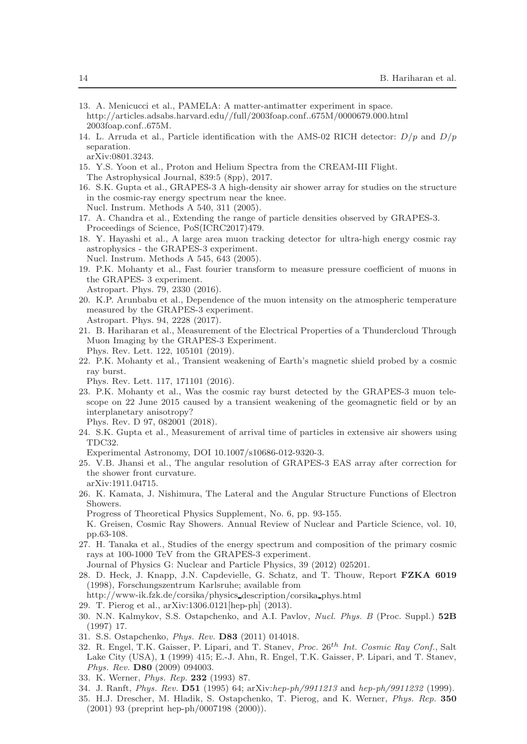<span id="page-13-0"></span>

| 13. A. Menicucci et al., PAMELA: A matter-antimatter experiment in space.       |  |
|---------------------------------------------------------------------------------|--|
| http://articles.adsabs.harvard.edu//full/2003foap.conf675 $M/0000679.000$ .html |  |
| $2003$ foap.conf675M.                                                           |  |

- <span id="page-13-1"></span>14. L. Arruda et al., Particle identification with the AMS-02 RICH detector:  $D/p$  and  $D/p$ separation.
- <span id="page-13-2"></span>arXiv:0801.3243.
- 15. Y.S. Yoon et al., Proton and Helium Spectra from the CREAM-III Flight. The Astrophysical Journal, 839:5 (8pp), 2017.
- <span id="page-13-3"></span>16. S.K. Gupta et al., GRAPES-3 A high-density air shower array for studies on the structure in the cosmic-ray energy spectrum near the knee. Nucl. Instrum. Methods A 540, 311 (2005).
- <span id="page-13-4"></span>17. A. Chandra et al., Extending the range of particle densities observed by GRAPES-3. Proceedings of Science, PoS(ICRC2017)479.
- <span id="page-13-5"></span>18. Y. Hayashi et al., A large area muon tracking detector for ultra-high energy cosmic ray astrophysics - the GRAPES-3 experiment. Nucl. Instrum. Methods A 545, 643 (2005).
- <span id="page-13-6"></span>19. P.K. Mohanty et al., Fast fourier transform to measure pressure coefficient of muons in the GRAPES- 3 experiment.
- <span id="page-13-7"></span>Astropart. Phys. 79, 2330 (2016).
- 20. K.P. Arunbabu et al., Dependence of the muon intensity on the atmospheric temperature measured by the GRAPES-3 experiment. Astropart. Phys. 94, 2228 (2017).
- <span id="page-13-8"></span>21. B. Hariharan et al., Measurement of the Electrical Properties of a Thundercloud Through Muon Imaging by the GRAPES-3 Experiment. Phys. Rev. Lett. 122, 105101 (2019).
- <span id="page-13-9"></span>22. P.K. Mohanty et al., Transient weakening of Earth's magnetic shield probed by a cosmic ray burst.

Phys. Rev. Lett. 117, 171101 (2016).

<span id="page-13-10"></span>23. P.K. Mohanty et al., Was the cosmic ray burst detected by the GRAPES-3 muon telescope on 22 June 2015 caused by a transient weakening of the geomagnetic field or by an interplanetary anisotropy?

<span id="page-13-11"></span>Phys. Rev. D 97, 082001 (2018).

24. S.K. Gupta et al., Measurement of arrival time of particles in extensive air showers using TDC32.

<span id="page-13-12"></span>Experimental Astronomy, DOI 10.1007/s10686-012-9320-3.

- 25. V.B. Jhansi et al., The angular resolution of GRAPES-3 EAS array after correction for the shower front curvature. arXiv:1911.04715.
- <span id="page-13-13"></span>26. K. Kamata, J. Nishimura, The Lateral and the Angular Structure Functions of Electron Showers.

Progress of Theoretical Physics Supplement, No. 6, pp. 93-155.

K. Greisen, Cosmic Ray Showers. Annual Review of Nuclear and Particle Science, vol. 10, pp.63-108.

<span id="page-13-14"></span>27. H. Tanaka et al., Studies of the energy spectrum and composition of the primary cosmic rays at 100-1000 TeV from the GRAPES-3 experiment.

<span id="page-13-15"></span>Journal of Physics G: Nuclear and Particle Physics, 39 (2012) 025201.

28. D. Heck, J. Knapp, J.N. Capdevielle, G. Schatz, and T. Thouw, Report FZKA 6019 (1998), Forschungszentrum Karlsruhe; available from

<span id="page-13-16"></span>http://www-ik.fzk.de/corsika/physics description/corsika phys.html

- <span id="page-13-17"></span>29. T. Pierog et al., arXiv:1306.0121[hep-ph] (2013).
- 30. N.N. Kalmykov, S.S. Ostapchenko, and A.I. Pavlov, *Nucl. Phys. B* (Proc. Suppl.) 52B (1997) 17.
- <span id="page-13-19"></span><span id="page-13-18"></span>31. S.S. Ostapchenko, *Phys. Rev.* D83 (2011) 014018.
- 32. R. Engel, T.K. Gaisser, P. Lipari, and T. Stanev, *Proc.* 26th *Int. Cosmic Ray Conf.*, Salt Lake City (USA), 1 (1999) 415; E.-J. Ahn, R. Engel, T.K. Gaisser, P. Lipari, and T. Stanev, *Phys. Rev.* D80 (2009) 094003.
- <span id="page-13-21"></span><span id="page-13-20"></span>33. K. Werner, *Phys. Rep.* 232 (1993) 87.
- <span id="page-13-22"></span>34. J. Ranft, *Phys. Rev.* D51 (1995) 64; arXiv:*hep-ph/9911213* and *hep-ph/9911232* (1999).
- 35. H.J. Drescher, M. Hladik, S. Ostapchenko, T. Pierog, and K. Werner, *Phys. Rep.* 350 (2001) 93 (preprint hep-ph/0007198 (2000)).